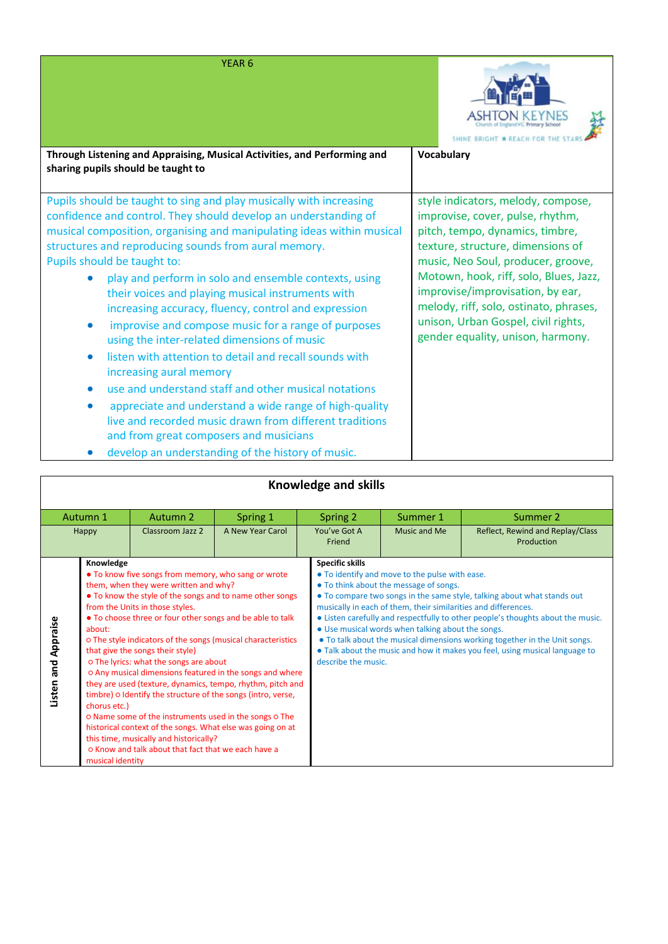|  | YEAR 6 |  |
|--|--------|--|
|  |        |  |



| Through Listening and Appraising, Musical Activities, and Performing and<br>sharing pupils should be taught to                                                                                                                                                                                                                                                                                                                                                                                                                                                                                                                                                                                                                                                                                                                                                                                                                                                                           | <b>Vocabulary</b>                                                                                                                                                                                                                                                                                                                                                                        |
|------------------------------------------------------------------------------------------------------------------------------------------------------------------------------------------------------------------------------------------------------------------------------------------------------------------------------------------------------------------------------------------------------------------------------------------------------------------------------------------------------------------------------------------------------------------------------------------------------------------------------------------------------------------------------------------------------------------------------------------------------------------------------------------------------------------------------------------------------------------------------------------------------------------------------------------------------------------------------------------|------------------------------------------------------------------------------------------------------------------------------------------------------------------------------------------------------------------------------------------------------------------------------------------------------------------------------------------------------------------------------------------|
| Pupils should be taught to sing and play musically with increasing<br>confidence and control. They should develop an understanding of<br>musical composition, organising and manipulating ideas within musical<br>structures and reproducing sounds from aural memory.<br>Pupils should be taught to:<br>play and perform in solo and ensemble contexts, using<br>their voices and playing musical instruments with<br>increasing accuracy, fluency, control and expression<br>improvise and compose music for a range of purposes<br>$\bullet$<br>using the inter-related dimensions of music<br>listen with attention to detail and recall sounds with<br>$\bullet$<br>increasing aural memory<br>use and understand staff and other musical notations<br>appreciate and understand a wide range of high-quality<br>$\bullet$<br>live and recorded music drawn from different traditions<br>and from great composers and musicians<br>develop an understanding of the bistory of music | style indicators, melody, compose,<br>improvise, cover, pulse, rhythm,<br>pitch, tempo, dynamics, timbre,<br>texture, structure, dimensions of<br>music, Neo Soul, producer, groove,<br>Motown, hook, riff, solo, Blues, Jazz,<br>improvise/improvisation, by ear,<br>melody, riff, solo, ostinato, phrases,<br>unison, Urban Gospel, civil rights,<br>gender equality, unison, harmony. |

| develop an understanding of the history of music. |  |  |  |  |
|---------------------------------------------------|--|--|--|--|
|---------------------------------------------------|--|--|--|--|

| Knowledge and skills                                                                                                                                                                                                                                                                                                                                                                                                                                                                                                                                                                                                                                                                                                                                                                                                                                                                                        |          |                                               |                                                                                                                                                                                                                 |                                                                                                                                                                                                                                                                                                                         |              |                                                |
|-------------------------------------------------------------------------------------------------------------------------------------------------------------------------------------------------------------------------------------------------------------------------------------------------------------------------------------------------------------------------------------------------------------------------------------------------------------------------------------------------------------------------------------------------------------------------------------------------------------------------------------------------------------------------------------------------------------------------------------------------------------------------------------------------------------------------------------------------------------------------------------------------------------|----------|-----------------------------------------------|-----------------------------------------------------------------------------------------------------------------------------------------------------------------------------------------------------------------|-------------------------------------------------------------------------------------------------------------------------------------------------------------------------------------------------------------------------------------------------------------------------------------------------------------------------|--------------|------------------------------------------------|
|                                                                                                                                                                                                                                                                                                                                                                                                                                                                                                                                                                                                                                                                                                                                                                                                                                                                                                             | Autumn 1 | Autumn 2                                      | Spring 1                                                                                                                                                                                                        | Spring 2                                                                                                                                                                                                                                                                                                                | Summer 1     | Summer 2                                       |
|                                                                                                                                                                                                                                                                                                                                                                                                                                                                                                                                                                                                                                                                                                                                                                                                                                                                                                             | Happy    | Classroom Jazz 2                              | A New Year Carol                                                                                                                                                                                                | You've Got A<br>Friend                                                                                                                                                                                                                                                                                                  | Music and Me | Reflect, Rewind and Replay/Class<br>Production |
| Knowledge<br>• To know five songs from memory, who sang or wrote<br>them, when they were written and why?<br>• To know the style of the songs and to name other songs<br>from the Units in those styles.<br>• To choose three or four other songs and be able to talk<br>Listen and Appraise<br>about:<br>o The style indicators of the songs (musical characteristics<br>that give the songs their style)<br>o The lyrics: what the songs are about<br>o Any musical dimensions featured in the songs and where<br>they are used (texture, dynamics, tempo, rhythm, pitch and<br>timbre) o Identify the structure of the songs (intro, verse,<br>chorus etc.)<br>o Name some of the instruments used in the songs o The<br>historical context of the songs. What else was going on at<br>this time, musically and historically?<br>o Know and talk about that fact that we each have a<br>musical identity |          | <b>Specific skills</b><br>describe the music. | • To identify and move to the pulse with ease.<br>• To think about the message of songs.<br>musically in each of them, their similarities and differences.<br>• Use musical words when talking about the songs. | • To compare two songs in the same style, talking about what stands out<br>• Listen carefully and respectfully to other people's thoughts about the music.<br>• To talk about the musical dimensions working together in the Unit songs.<br>• Talk about the music and how it makes you feel, using musical language to |              |                                                |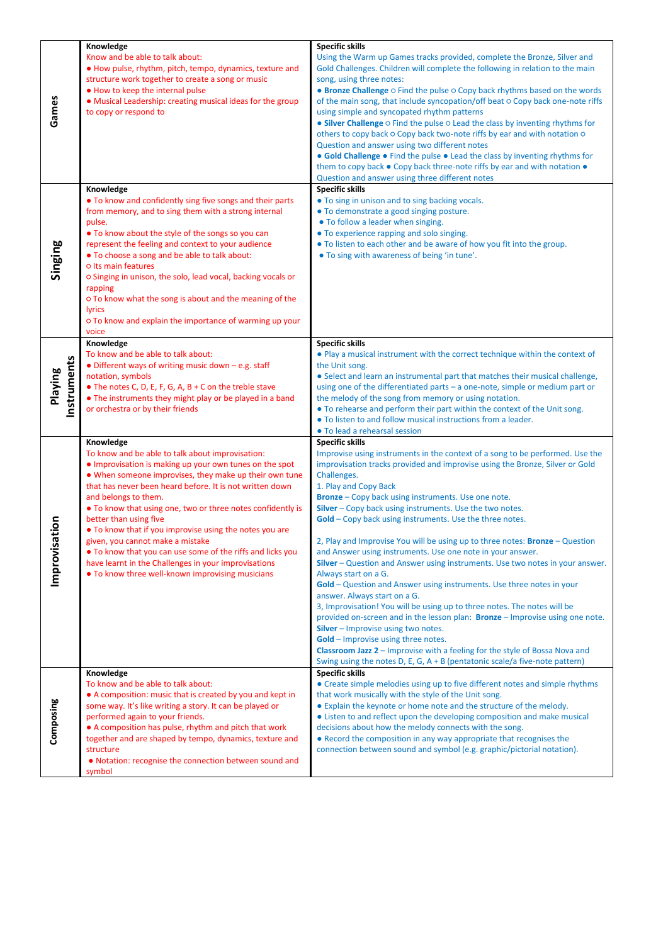|                        | Knowledge                                                                                                                                                                                                                                                                                                                                                                                                                                                                                                                                                                                                                                | <b>Specific skills</b>                                                                                                                                                                                                                                                                                                                                                                                                                                                                                                                                                                                                                                                                                                                                                                                                                                                                                                                                                                                                                                                                                                                                                                                |
|------------------------|------------------------------------------------------------------------------------------------------------------------------------------------------------------------------------------------------------------------------------------------------------------------------------------------------------------------------------------------------------------------------------------------------------------------------------------------------------------------------------------------------------------------------------------------------------------------------------------------------------------------------------------|-------------------------------------------------------------------------------------------------------------------------------------------------------------------------------------------------------------------------------------------------------------------------------------------------------------------------------------------------------------------------------------------------------------------------------------------------------------------------------------------------------------------------------------------------------------------------------------------------------------------------------------------------------------------------------------------------------------------------------------------------------------------------------------------------------------------------------------------------------------------------------------------------------------------------------------------------------------------------------------------------------------------------------------------------------------------------------------------------------------------------------------------------------------------------------------------------------|
| Games                  | Know and be able to talk about:<br>. How pulse, rhythm, pitch, tempo, dynamics, texture and<br>structure work together to create a song or music<br>. How to keep the internal pulse<br>• Musical Leadership: creating musical ideas for the group<br>to copy or respond to                                                                                                                                                                                                                                                                                                                                                              | Using the Warm up Games tracks provided, complete the Bronze, Silver and<br>Gold Challenges. Children will complete the following in relation to the main<br>song, using three notes:<br>• Bronze Challenge o Find the pulse o Copy back rhythms based on the words<br>of the main song, that include syncopation/off beat o Copy back one-note riffs<br>using simple and syncopated rhythm patterns<br>• Silver Challenge O Find the pulse O Lead the class by inventing rhythms for<br>others to copy back o Copy back two-note riffs by ear and with notation o<br>Question and answer using two different notes<br>• Gold Challenge • Find the pulse • Lead the class by inventing rhythms for<br>them to copy back . Copy back three-note riffs by ear and with notation .<br>Question and answer using three different notes                                                                                                                                                                                                                                                                                                                                                                    |
| Singing                | Knowledge<br>• To know and confidently sing five songs and their parts<br>from memory, and to sing them with a strong internal<br>pulse.<br>• To know about the style of the songs so you can<br>represent the feeling and context to your audience<br>. To choose a song and be able to talk about:<br>o Its main features<br>o Singing in unison, the solo, lead vocal, backing vocals or<br>rapping<br>o To know what the song is about and the meaning of the<br>lyrics<br>o To know and explain the importance of warming up your<br>voice<br>Knowledge                                                                             | <b>Specific skills</b><br>• To sing in unison and to sing backing vocals.<br>. To demonstrate a good singing posture.<br>• To follow a leader when singing.<br>• To experience rapping and solo singing.<br>• To listen to each other and be aware of how you fit into the group.<br>• To sing with awareness of being 'in tune'.<br><b>Specific skills</b>                                                                                                                                                                                                                                                                                                                                                                                                                                                                                                                                                                                                                                                                                                                                                                                                                                           |
| Instruments<br>Playing | To know and be able to talk about:<br>• Different ways of writing music down - e.g. staff<br>notation, symbols<br>$\bullet$ The notes C, D, E, F, G, A, B + C on the treble stave<br>• The instruments they might play or be played in a band<br>or orchestra or by their friends                                                                                                                                                                                                                                                                                                                                                        | . Play a musical instrument with the correct technique within the context of<br>the Unit song.<br>• Select and learn an instrumental part that matches their musical challenge,<br>using one of the differentiated parts $-$ a one-note, simple or medium part or<br>the melody of the song from memory or using notation.<br>• To rehearse and perform their part within the context of the Unit song.<br>. To listen to and follow musical instructions from a leader.<br>• To lead a rehearsal session                                                                                                                                                                                                                                                                                                                                                                                                                                                                                                                                                                                                                                                                                             |
| ation<br>Improvis      | Knowledge<br>To know and be able to talk about improvisation:<br>• Improvisation is making up your own tunes on the spot<br>. When someone improvises, they make up their own tune<br>that has never been heard before. It is not written down<br>and belongs to them.<br>• To know that using one, two or three notes confidently is<br>better than using five<br>• To know that if you improvise using the notes you are<br>given, you cannot make a mistake<br>• To know that you can use some of the riffs and licks you<br>have learnt in the Challenges in your improvisations<br>. To know three well-known improvising musicians | <b>Specific skills</b><br>Improvise using instruments in the context of a song to be performed. Use the<br>improvisation tracks provided and improvise using the Bronze, Silver or Gold<br>Challenges.<br>1. Play and Copy Back<br>Bronze - Copy back using instruments. Use one note.<br>Silver - Copy back using instruments. Use the two notes.<br><b>Gold</b> – Copy back using instruments. Use the three notes.<br>2, Play and Improvise You will be using up to three notes: Bronze - Question<br>and Answer using instruments. Use one note in your answer.<br>Silver - Question and Answer using instruments. Use two notes in your answer.<br>Always start on a G.<br>Gold - Question and Answer using instruments. Use three notes in your<br>answer. Always start on a G.<br>3, Improvisation! You will be using up to three notes. The notes will be<br>provided on-screen and in the lesson plan: Bronze - Improvise using one note.<br><b>Silver</b> – Improvise using two notes.<br>Gold - Improvise using three notes.<br>Classroom Jazz 2 - Improvise with a feeling for the style of Bossa Nova and<br>Swing using the notes D, E, G, A + B (pentatonic scale/a five-note pattern) |
| Composing              | Knowledge<br>To know and be able to talk about:<br>• A composition: music that is created by you and kept in<br>some way. It's like writing a story. It can be played or<br>performed again to your friends.<br>• A composition has pulse, rhythm and pitch that work<br>together and are shaped by tempo, dynamics, texture and<br>structure<br>. Notation: recognise the connection between sound and<br>symbol                                                                                                                                                                                                                        | <b>Specific skills</b><br>• Create simple melodies using up to five different notes and simple rhythms<br>that work musically with the style of the Unit song.<br>• Explain the keynote or home note and the structure of the melody.<br>• Listen to and reflect upon the developing composition and make musical<br>decisions about how the melody connects with the song.<br>• Record the composition in any way appropriate that recognises the<br>connection between sound and symbol (e.g. graphic/pictorial notation).                                                                                                                                                                                                                                                                                                                                                                                                                                                                                                                                                                                                                                                                          |